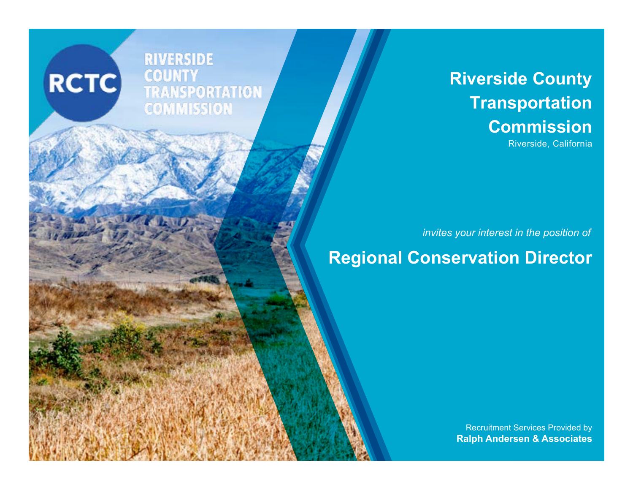**RIVERSIDE** CO UNIT **TRANSPORTATION**<br>COMMISSION

**RCTC** 

# **Riverside County Transportation Commission**

Riverside, California

*invites your interest in the position of*

# **Regional Conservation Director**

Recruitment Services Provided by **Ralph Andersen & Associates**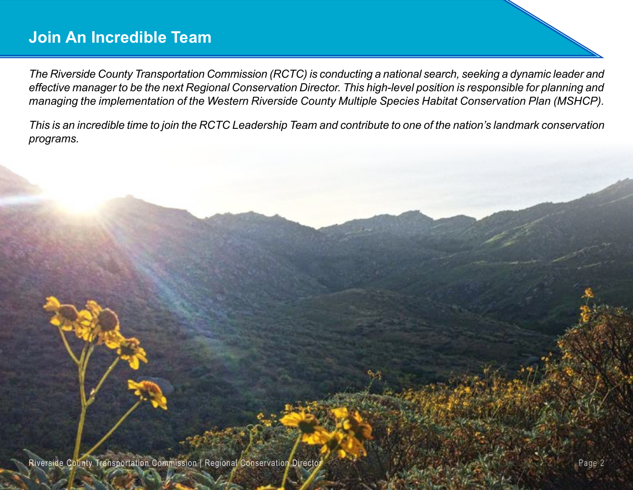## **Join An Incredible Team**

*The Riverside County Transportation Commission (RCTC) is conducting a national search, seeking a dynamic leader and effective manager to be the next Regional Conservation Director. This high-level position is responsible for planning and managing the implementation of the Western Riverside County Multiple Species Habitat Conservation Plan (MSHCP).* 

*This is an incredible time to join the RCTC Leadership Team and contribute to one of the nation's landmark conservation programs.*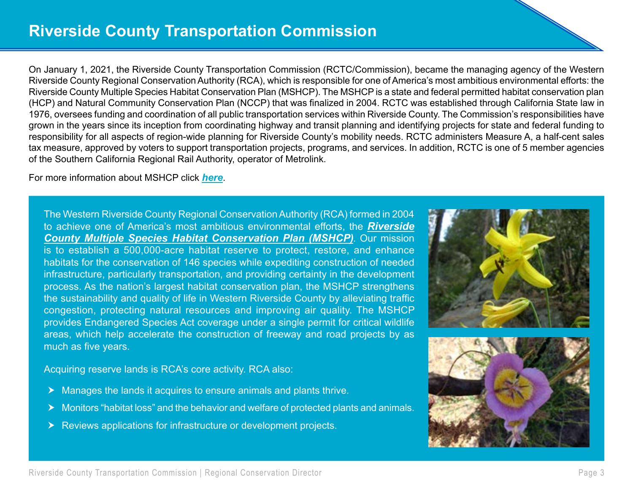On January 1, 2021, the Riverside County Transportation Commission (RCTC/Commission), became the managing agency of the Western Riverside County Regional Conservation Authority (RCA), which is responsible for one of America's most ambitious environmental efforts: the Riverside County Multiple Species Habitat Conservation Plan (MSHCP). The MSHCP is a state and federal permitted habitat conservation plan (HCP) and Natural Community Conservation Plan (NCCP) that was finalized in 2004. RCTC was established through California State law in 1976, oversees funding and coordination of all public transportation services within Riverside County. The Commission's responsibilities have grown in the years since its inception from coordinating highway and transit planning and identifying projects for state and federal funding to responsibility for all aspects of region-wide planning for Riverside County's mobility needs. RCTC administers Measure A, a half-cent sales tax measure, approved by voters to support transportation projects, programs, and services. In addition, RCTC is one of 5 member agencies of the Southern California Regional Rail Authority, operator of Metrolink.

For more information about MSHCP click *[here](https://www.wrc-rca.org/about-rca/)*.

The Western Riverside County Regional Conservation Authority (RCA) formed in 2004 to achieve one of America's most ambitious environmental efforts, the *[Riverside](https://www.wrc-rca.org/Permit_Docs/MSHCP/MSHCP-Volume%201.pdf)  [County Multiple Species Habitat Conservation Plan \(MSHCP\)](https://www.wrc-rca.org/Permit_Docs/MSHCP/MSHCP-Volume%201.pdf)*. Our mission is to establish a 500,000-acre habitat reserve to protect, restore, and enhance habitats for the conservation of 146 species while expediting construction of needed infrastructure, particularly transportation, and providing certainty in the development process. As the nation's largest habitat conservation plan, the MSHCP strengthens the sustainability and quality of life in Western Riverside County by alleviating traffic congestion, protecting natural resources and improving air quality. The MSHCP provides Endangered Species Act coverage under a single permit for critical wildlife areas, which help accelerate the construction of freeway and road projects by as much as five years.

Acquiring reserve lands is RCA's core activity. RCA also:

- $\blacktriangleright$  Manages the lands it acquires to ensure animals and plants thrive.
- $\blacktriangleright$  Monitors "habitat loss" and the behavior and welfare of protected plants and animals.
- $\blacktriangleright$  Reviews applications for infrastructure or development projects.

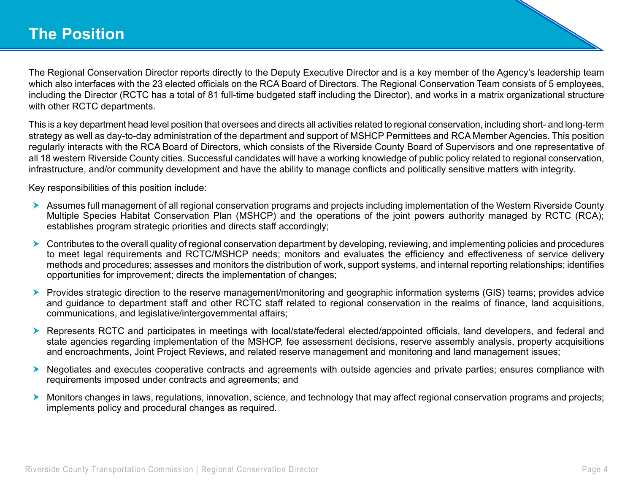The Regional Conservation Director reports directly to the Deputy Executive Director and is a key member of the Agency's leadership team which also interfaces with the 23 elected officials on the RCA Board of Directors. The Regional Conservation Team consists of 5 employees, including the Director (RCTC has a total of 81 full-time budgeted staff including the Director), and works in a matrix organizational structure with other RCTC departments.

This is a key department head level position that oversees and directs all activities related to regional conservation, including short- and long-term strategy as well as day-to-day administration of the department and support of MSHCP Permittees and RCA Member Agencies. This position regularly interacts with the RCA Board of Directors, which consists of the Riverside County Board of Supervisors and one representative of all 18 western Riverside County cities. Successful candidates will have a working knowledge of public policy related to regional conservation, infrastructure, and/or community development and have the ability to manage conflicts and politically sensitive matters with integrity.

Key responsibilities of this position include:

- **h** Assumes full management of all regional conservation programs and projects including implementation of the Western Riverside County Multiple Species Habitat Conservation Plan (MSHCP) and the operations of the joint powers authority managed by RCTC (RCA); establishes program strategic priorities and directs staff accordingly;
- h Contributes to the overall quality of regional conservation department by developing, reviewing, and implementing policies and procedures to meet legal requirements and RCTC/MSHCP needs; monitors and evaluates the efficiency and effectiveness of service delivery methods and procedures; assesses and monitors the distribution of work, support systems, and internal reporting relationships; identifies opportunities for improvement; directs the implementation of changes;
- **Figure** Provides strategic direction to the reserve management/monitoring and geographic information systems (GIS) teams; provides advice and guidance to department staff and other RCTC staff related to regional conservation in the realms of finance, land acquisitions, communications, and legislative/intergovernmental affairs;
- ▶ Represents RCTC and participates in meetings with local/state/federal elected/appointed officials, land developers, and federal and state agencies regarding implementation of the MSHCP, fee assessment decisions, reserve assembly analysis, property acquisitions and encroachments, Joint Project Reviews, and related reserve management and monitoring and land management issues;
- h Negotiates and executes cooperative contracts and agreements with outside agencies and private parties; ensures compliance with requirements imposed under contracts and agreements; and
- h Monitors changes in laws, regulations, innovation, science, and technology that may affect regional conservation programs and projects; implements policy and procedural changes as required.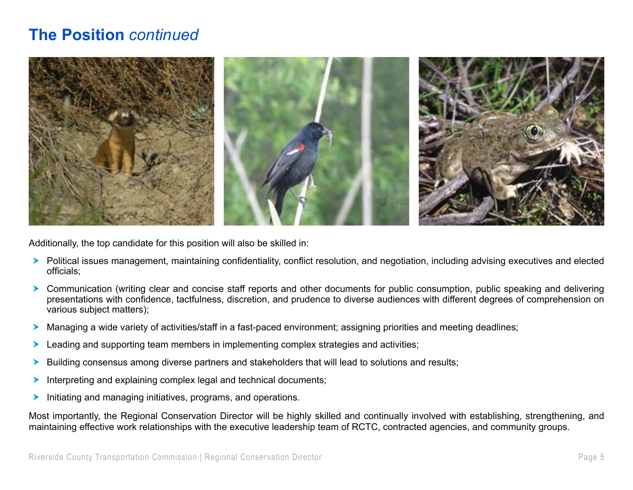### **The Position** *continued*



Additionally, the top candidate for this position will also be skilled in:

- **EX** Political issues management, maintaining confidentiality, conflict resolution, and negotiation, including advising executives and elected officials;
- **EX** Communication (writing clear and concise staff reports and other documents for public consumption, public speaking and delivering presentations with confidence, tactfulness, discretion, and prudence to diverse audiences with different degrees of comprehension on various subject matters);
- h Managing a wide variety of activities/staff in a fast-paced environment; assigning priorities and meeting deadlines;
- $\blacktriangleright$  Leading and supporting team members in implementing complex strategies and activities;
- $\blacktriangleright$  Building consensus among diverse partners and stakeholders that will lead to solutions and results;
- $\blacktriangleright$  Interpreting and explaining complex legal and technical documents;
- $\blacktriangleright$  Initiating and managing initiatives, programs, and operations.

Most importantly, the Regional Conservation Director will be highly skilled and continually involved with establishing, strengthening, and maintaining effective work relationships with the executive leadership team of RCTC, contracted agencies, and community groups.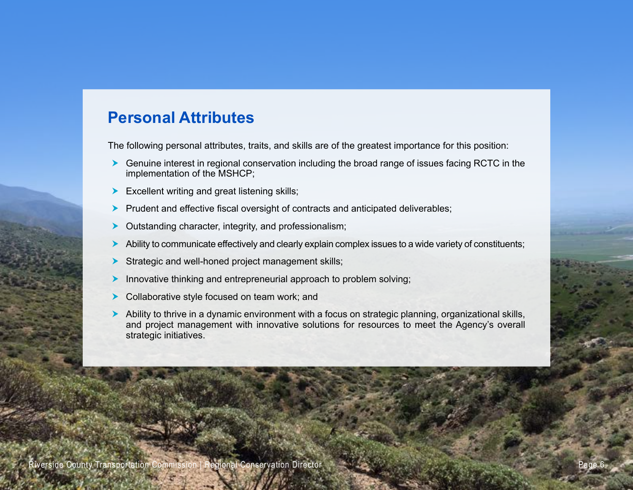#### **Personal Attributes**

The following personal attributes, traits, and skills are of the greatest importance for this position:

- $\blacktriangleright$  Genuine interest in regional conservation including the broad range of issues facing RCTC in the implementation of the MSHCP;
- $\blacktriangleright$  Excellent writing and great listening skills;
- $\blacktriangleright$  Prudent and effective fiscal oversight of contracts and anticipated deliverables;
- $\triangleright$  Outstanding character, integrity, and professionalism;
- $\blacktriangleright$  Ability to communicate effectively and clearly explain complex issues to a wide variety of constituents;
- $\triangleright$  Strategic and well-honed project management skills;
- $\blacktriangleright$  Innovative thinking and entrepreneurial approach to problem solving;
- $\blacktriangleright$  Collaborative style focused on team work; and
- h Ability to thrive in a dynamic environment with a focus on strategic planning, organizational skills, and project management with innovative solutions for resources to meet the Agency's overall strategic initiatives.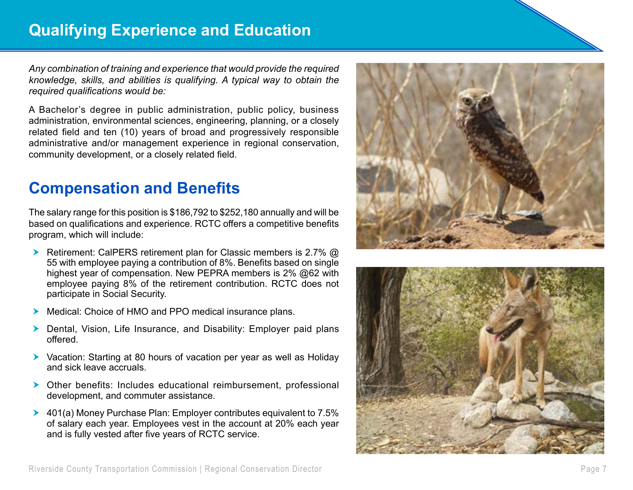*Any combination of training and experience that would provide the required knowledge, skills, and abilities is qualifying. A typical way to obtain the required qualifications would be:*

A Bachelor's degree in public administration, public policy, business administration, environmental sciences, engineering, planning, or a closely related field and ten (10) years of broad and progressively responsible administrative and/or management experience in regional conservation, community development, or a closely related field.

# **Compensation and Benefits**

The salary range for this position is \$186,792 to \$252,180 annually and will be based on qualifications and experience. RCTC offers a competitive benefits program, which will include:

- **h** Retirement: CalPERS retirement plan for Classic members is 2.7%  $\omega$ 55 with employee paying a contribution of 8%. Benefits based on single highest year of compensation. New PEPRA members is 2% @62 with employee paying 8% of the retirement contribution. RCTC does not participate in Social Security.
- Medical: Choice of HMO and PPO medical insurance plans.
- $\triangleright$  Dental, Vision, Life Insurance, and Disability: Employer paid plans offered.
- $\triangleright$  Vacation: Starting at 80 hours of vacation per year as well as Holiday and sick leave accruals.
- $\triangleright$  Other benefits: Includes educational reimbursement, professional development, and commuter assistance.
- $\blacktriangleright$  401(a) Money Purchase Plan: Employer contributes equivalent to 7.5% of salary each year. Employees vest in the account at 20% each year and is fully vested after five years of RCTC service.